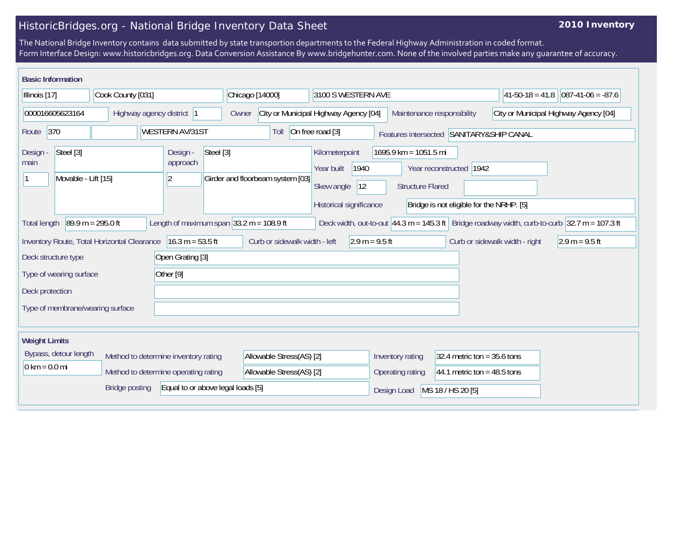## HistoricBridges.org - National Bridge Inventory Data Sheet

## **2010 Inventory**

The National Bridge Inventory contains data submitted by state transportion departments to the Federal Highway Administration in coded format. Form Interface Design: www.historicbridges.org. Data Conversion Assistance By www.bridgehunter.com. None of the involved parties make any guarantee of accuracy.

| <b>Basic Information</b>                                                                                                                                                                                                        |  |                          |                                                |                                                                                      |                                                                          |                                                  |                                       |                      |  |
|---------------------------------------------------------------------------------------------------------------------------------------------------------------------------------------------------------------------------------|--|--------------------------|------------------------------------------------|--------------------------------------------------------------------------------------|--------------------------------------------------------------------------|--------------------------------------------------|---------------------------------------|----------------------|--|
| Cook County [031]<br>Illinois [17]                                                                                                                                                                                              |  |                          | Chicago [14000]<br>3100 S WESTERN AVE          |                                                                                      |                                                                          |                                                  | $ 41-50-18=41.8 $                     | $ 087-41-06 = -87.6$ |  |
| 000016605623164<br>Highway agency district 1                                                                                                                                                                                    |  |                          | City or Municipal Highway Agency [04]<br>Owner |                                                                                      | Maintenance responsibility                                               |                                                  | City or Municipal Highway Agency [04] |                      |  |
| $\vert 370$<br>On free road [3]<br><b>WESTERN AV/31ST</b><br>Route<br>Toll<br>Features intersected SANITARY&SHIP CANAL                                                                                                          |  |                          |                                                |                                                                                      |                                                                          |                                                  |                                       |                      |  |
| Steel [3]<br>Design -<br>Design -<br>approach<br>main<br>Movable - Lift [15]<br>$ 2\rangle$                                                                                                                                     |  | Steel [3]                | Girder and floorbeam system [03]               | Kilometerpoint<br>1940<br>Year built<br>Skew angle<br> 12<br>Historical significance | $1695.9$ km = 1051.5 mi<br>Year reconstructed<br><b>Structure Flared</b> | 1942<br>Bridge is not eligible for the NRHP. [5] |                                       |                      |  |
| $89.9 m = 295.0 ft$<br>Length of maximum span $ 33.2 \text{ m} = 108.9 \text{ ft} $<br>Deck width, out-to-out 44.3 m = 145.3 ft Bridge roadway width, curb-to-curb $ 32.7 \text{ m} = 107.3 \text{ ft} $<br><b>Total length</b> |  |                          |                                                |                                                                                      |                                                                          |                                                  |                                       |                      |  |
| $16.3 m = 53.5 ft$<br>Curb or sidewalk width - left<br>$2.9 m = 9.5 ft$<br>Inventory Route, Total Horizontal Clearance<br>Curb or sidewalk width - right<br>$2.9 m = 9.5 ft$                                                    |  |                          |                                                |                                                                                      |                                                                          |                                                  |                                       |                      |  |
| Open Grating [3]<br>Deck structure type                                                                                                                                                                                         |  |                          |                                                |                                                                                      |                                                                          |                                                  |                                       |                      |  |
| Other [9]<br>Type of wearing surface                                                                                                                                                                                            |  |                          |                                                |                                                                                      |                                                                          |                                                  |                                       |                      |  |
| Deck protection                                                                                                                                                                                                                 |  |                          |                                                |                                                                                      |                                                                          |                                                  |                                       |                      |  |
| Type of membrane/wearing surface                                                                                                                                                                                                |  |                          |                                                |                                                                                      |                                                                          |                                                  |                                       |                      |  |
| <b>Weight Limits</b>                                                                                                                                                                                                            |  |                          |                                                |                                                                                      |                                                                          |                                                  |                                       |                      |  |
| Bypass, detour length<br>Method to determine inventory rating<br>$0 \text{ km} = 0.0 \text{ mi}$<br>Method to determine operating rating                                                                                        |  | Allowable Stress(AS) [2] |                                                | Inventory rating                                                                     | 32.4 metric ton = $35.6$ tons                                            |                                                  |                                       |                      |  |
|                                                                                                                                                                                                                                 |  |                          | Allowable Stress(AS) [2]                       |                                                                                      | Operating rating                                                         | 44.1 metric ton = $48.5$ tons                    |                                       |                      |  |
| <b>Bridge posting</b><br>Equal to or above legal loads [5]                                                                                                                                                                      |  |                          |                                                | Design Load                                                                          | MS 18 / HS 20 [5]                                                        |                                                  |                                       |                      |  |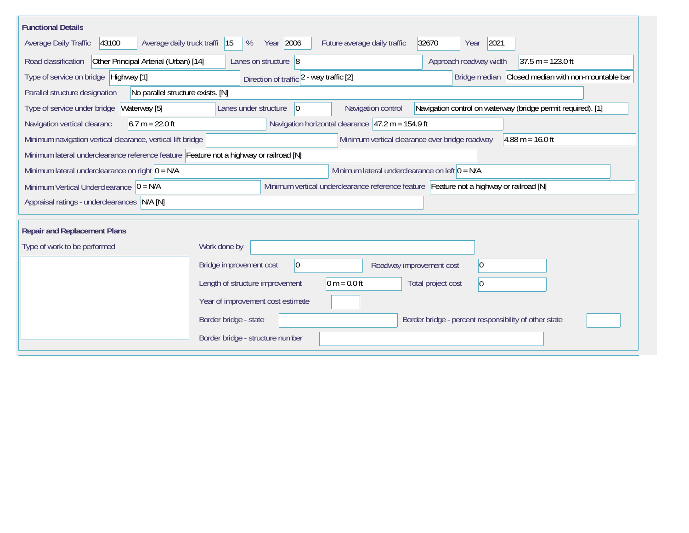| <b>Functional Details</b>                                                                                                                           |                                                                                                                            |  |  |  |  |  |  |  |  |
|-----------------------------------------------------------------------------------------------------------------------------------------------------|----------------------------------------------------------------------------------------------------------------------------|--|--|--|--|--|--|--|--|
| 2021<br>43100<br>Average daily truck traffi<br>Year 2006<br>Future average daily traffic<br>32670<br>Average Daily Traffic<br> 15<br>%<br>Year      |                                                                                                                            |  |  |  |  |  |  |  |  |
| Road classification<br>Other Principal Arterial (Urban) [14]                                                                                        | Approach roadway width<br>Lanes on structure 8<br>$37.5 m = 123.0 ft$                                                      |  |  |  |  |  |  |  |  |
| Type of service on bridge Highway [1]                                                                                                               | Bridge median Closed median with non-mountable bar<br>Direction of traffic 2 - way traffic [2]                             |  |  |  |  |  |  |  |  |
| No parallel structure exists. [N]<br>Parallel structure designation                                                                                 |                                                                                                                            |  |  |  |  |  |  |  |  |
| Type of service under bridge<br>Waterway [5]                                                                                                        | Lanes under structure<br>$ 0\rangle$<br>Navigation control<br>Navigation control on waterway (bridge permit required). [1] |  |  |  |  |  |  |  |  |
| $6.7 m = 22.0 ft$<br>Navigation vertical clearanc                                                                                                   | Navigation horizontal clearance $ 47.2 \text{ m} = 154.9 \text{ ft} $                                                      |  |  |  |  |  |  |  |  |
| Minimum vertical clearance over bridge roadway<br>Minimum navigation vertical clearance, vertical lift bridge<br>$4.88 \text{ m} = 16.0 \text{ ft}$ |                                                                                                                            |  |  |  |  |  |  |  |  |
| Minimum lateral underclearance reference feature Feature not a highway or railroad [N]                                                              |                                                                                                                            |  |  |  |  |  |  |  |  |
| Minimum lateral underclearance on left $0 = N/A$<br>Minimum lateral underclearance on right $ 0 = N/A$                                              |                                                                                                                            |  |  |  |  |  |  |  |  |
| Minimum vertical underclearance reference feature Feature not a highway or railroad [N]<br>Minimum Vertical Underclearance $ 0 = N/A$               |                                                                                                                            |  |  |  |  |  |  |  |  |
| Appraisal ratings - underclearances N/A [N]                                                                                                         |                                                                                                                            |  |  |  |  |  |  |  |  |
| <b>Repair and Replacement Plans</b>                                                                                                                 |                                                                                                                            |  |  |  |  |  |  |  |  |
| Type of work to be performed                                                                                                                        | Work done by                                                                                                               |  |  |  |  |  |  |  |  |
|                                                                                                                                                     |                                                                                                                            |  |  |  |  |  |  |  |  |
|                                                                                                                                                     | $ 0\rangle$<br>Bridge improvement cost<br>$ 0\rangle$<br>Roadway improvement cost                                          |  |  |  |  |  |  |  |  |
|                                                                                                                                                     | Length of structure improvement<br>$ 0 m = 0.0 ft$<br>Total project cost<br>$ 0\rangle$                                    |  |  |  |  |  |  |  |  |
|                                                                                                                                                     | Year of improvement cost estimate                                                                                          |  |  |  |  |  |  |  |  |
|                                                                                                                                                     | Border bridge - percent responsibility of other state<br>Border bridge - state                                             |  |  |  |  |  |  |  |  |
|                                                                                                                                                     | Border bridge - structure number                                                                                           |  |  |  |  |  |  |  |  |